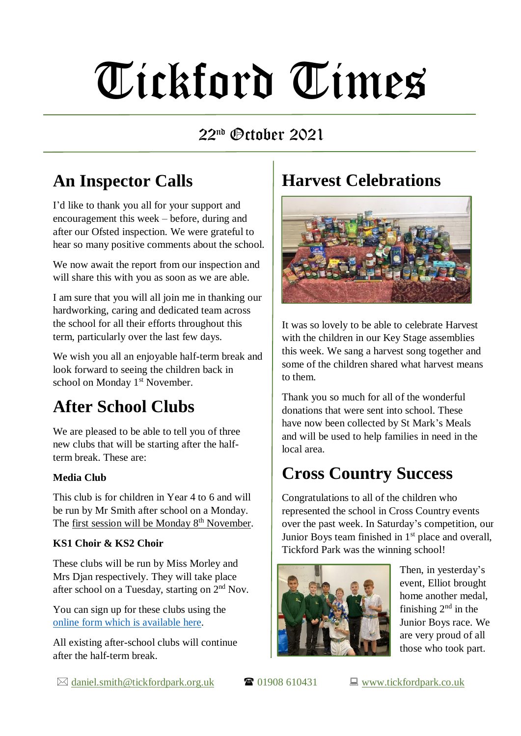# Tickford Times

#### $22<sup>nd</sup>$  (Prinher 2021

### **An Inspector Calls**

I'd like to thank you all for your support and encouragement this week – before, during and after our Ofsted inspection. We were grateful to hear so many positive comments about the school.

We now await the report from our inspection and will share this with you as soon as we are able.

I am sure that you will all join me in thanking our hardworking, caring and dedicated team across the school for all their efforts throughout this term, particularly over the last few days.

We wish you all an enjoyable half-term break and look forward to seeing the children back in school on Monday 1<sup>st</sup> November.

### **After School Clubs**

We are pleased to be able to tell you of three new clubs that will be starting after the halfterm break. These are:

#### **Media Club**

This club is for children in Year 4 to 6 and will be run by Mr Smith after school on a Monday. The first session will be Monday 8<sup>th</sup> November.

#### **KS1 Choir & KS2 Choir**

These clubs will be run by Miss Morley and Mrs Djan respectively. They will take place after school on a Tuesday, starting on  $2<sup>nd</sup>$  Nov.

You can sign up for these clubs using the [online form which is available here.](https://forms.gle/zPR4hrP2YzEbdjr28)

All existing after-school clubs will continue after the half-term break.

## **Harvest Celebrations**



It was so lovely to be able to celebrate Harvest with the children in our Key Stage assemblies this week. We sang a harvest song together and some of the children shared what harvest means to them.

Thank you so much for all of the wonderful donations that were sent into school. These have now been collected by St Mark's Meals and will be used to help families in need in the local area.

### **Cross Country Success**

Congratulations to all of the children who represented the school in Cross Country events over the past week. In Saturday's competition, our Junior Boys team finished in 1<sup>st</sup> place and overall, Tickford Park was the winning school!



Then, in yesterday's event, Elliot brought home another medal, finishing  $2<sup>nd</sup>$  in the Junior Boys race. We are very proud of all those who took part.

 $\boxtimes$  [daniel.smith@tickfordpark.org.uk](mailto:daniel.smith@tickfordpark.org.uk)  $\blacksquare$  01908 610431  $\blacksquare$  [www.tickfordpark.co.uk](http://www.tickfordpark.co.uk/)